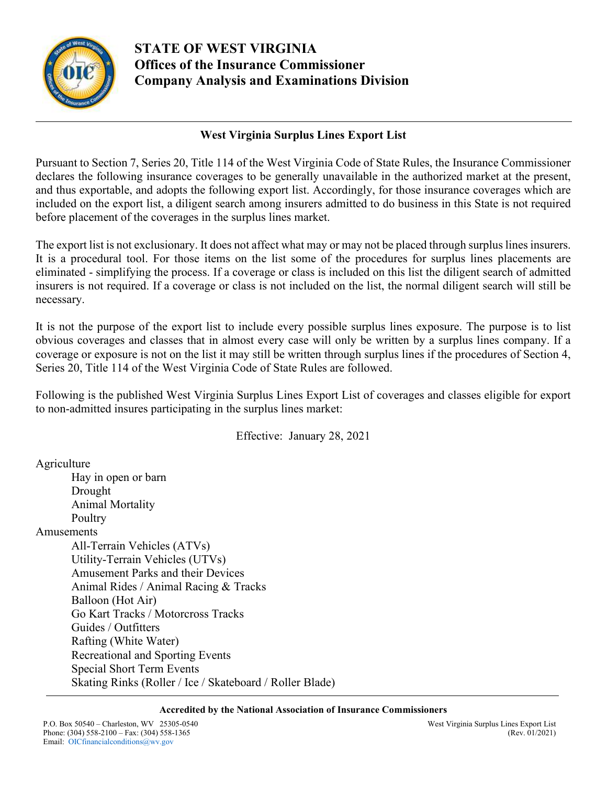

# **STATE OF WEST VIRGINIA Offices of the Insurance Commissioner Company Analysis and Examinations Division**

## **West Virginia Surplus Lines Export List**

Pursuant to Section 7, Series 20, Title 114 of the West Virginia Code of State Rules, the Insurance Commissioner declares the following insurance coverages to be generally unavailable in the authorized market at the present, and thus exportable, and adopts the following export list. Accordingly, for those insurance coverages which are included on the export list, a diligent search among insurers admitted to do business in this State is not required before placement of the coverages in the surplus lines market.

The export list is not exclusionary. It does not affect what may or may not be placed through surplus lines insurers. It is a procedural tool. For those items on the list some of the procedures for surplus lines placements are eliminated - simplifying the process. If a coverage or class is included on this list the diligent search of admitted insurers is not required. If a coverage or class is not included on the list, the normal diligent search will still be necessary.

It is not the purpose of the export list to include every possible surplus lines exposure. The purpose is to list obvious coverages and classes that in almost every case will only be written by a surplus lines company. If a coverage or exposure is not on the list it may still be written through surplus lines if the procedures of Section 4, Series 20, Title 114 of the West Virginia Code of State Rules are followed.

Following is the published West Virginia Surplus Lines Export List of coverages and classes eligible for export to non-admitted insures participating in the surplus lines market:

Effective: January 28, 2021

Agriculture Hay in open or barn Drought Animal Mortality Poultry Amusements All-Terrain Vehicles (ATVs)

 Utility-Terrain Vehicles (UTVs) Amusement Parks and their Devices Animal Rides / Animal Racing & Tracks Balloon (Hot Air) Go Kart Tracks / Motorcross Tracks Guides / Outfitters Rafting (White Water) Recreational and Sporting Events Special Short Term Events Skating Rinks (Roller / Ice / Skateboard / Roller Blade)

#### **Accredited by the National Association of Insurance Commissioners**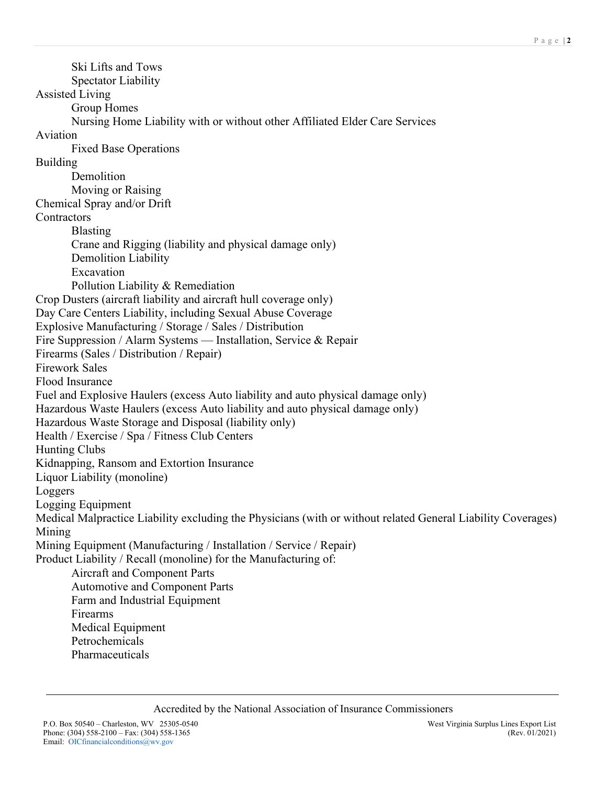Ski Lifts and Tows Spectator Liability Assisted Living Group Homes Nursing Home Liability with or without other Affiliated Elder Care Services Aviation Fixed Base Operations Building Demolition Moving or Raising Chemical Spray and/or Drift **Contractors**  Blasting Crane and Rigging (liability and physical damage only) Demolition Liability Excavation Pollution Liability & Remediation Crop Dusters (aircraft liability and aircraft hull coverage only) Day Care Centers Liability, including Sexual Abuse Coverage Explosive Manufacturing / Storage / Sales / Distribution Fire Suppression / Alarm Systems — Installation, Service & Repair Firearms (Sales / Distribution / Repair) Firework Sales Flood Insurance Fuel and Explosive Haulers (excess Auto liability and auto physical damage only) Hazardous Waste Haulers (excess Auto liability and auto physical damage only) Hazardous Waste Storage and Disposal (liability only) Health / Exercise / Spa / Fitness Club Centers Hunting Clubs Kidnapping, Ransom and Extortion Insurance Liquor Liability (monoline) Loggers Logging Equipment Medical Malpractice Liability excluding the Physicians (with or without related General Liability Coverages) Mining Mining Equipment (Manufacturing / Installation / Service / Repair) Product Liability / Recall (monoline) for the Manufacturing of: Aircraft and Component Parts Automotive and Component Parts Farm and Industrial Equipment Firearms Medical Equipment Petrochemicals Pharmaceuticals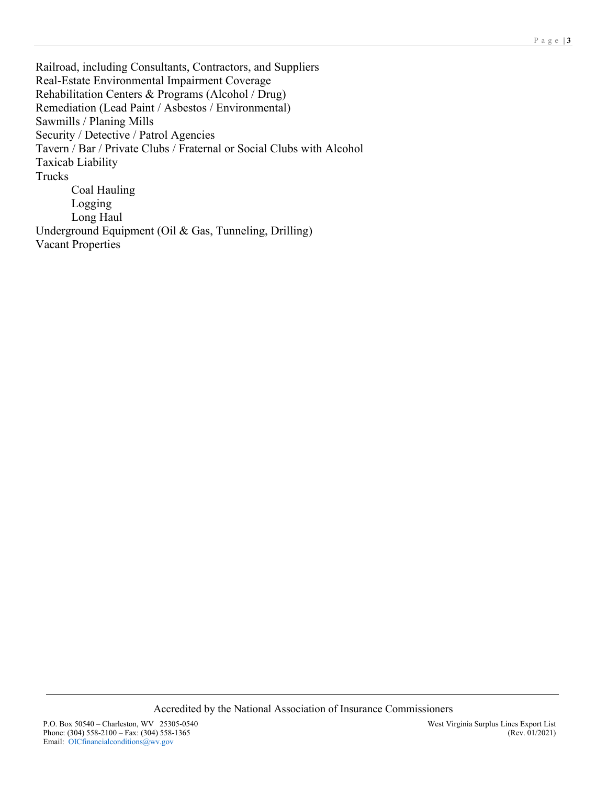Railroad, including Consultants, Contractors, and Suppliers Real-Estate Environmental Impairment Coverage Rehabilitation Centers & Programs (Alcohol / Drug) Remediation (Lead Paint / Asbestos / Environmental) Sawmills / Planing Mills Security / Detective / Patrol Agencies Tavern / Bar / Private Clubs / Fraternal or Social Clubs with Alcohol Taxicab Liability Trucks Coal Hauling Logging Long Haul Underground Equipment (Oil & Gas, Tunneling, Drilling) Vacant Properties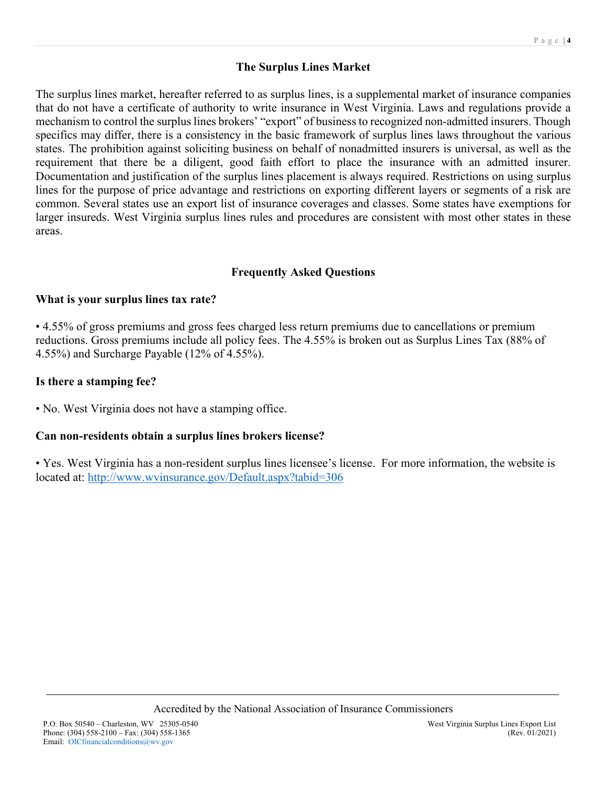## **The Surplus Lines Market**

The surplus lines market, hereafter referred to as surplus lines, is a supplemental market of insurance companies that do not have a certificate of authority to write insurance in West Virginia. Laws and regulations provide a mechanism to control the surplus lines brokers' "export" of business to recognized non-admitted insurers. Though specifics may differ, there is a consistency in the basic framework of surplus lines laws throughout the various states. The prohibition against soliciting business on behalf of nonadmitted insurers is universal, as well as the requirement that there be a diligent, good faith effort to place the insurance with an admitted insurer. Documentation and justification of the surplus lines placement is always required. Restrictions on using surplus lines for the purpose of price advantage and restrictions on exporting different layers or segments of a risk are common. Several states use an export list of insurance coverages and classes. Some states have exemptions for larger insureds. West Virginia surplus lines rules and procedures are consistent with most other states in these areas.

#### **Frequently Asked Questions**

#### **What is your surplus lines tax rate?**

• 4.55% of gross premiums and gross fees charged less return premiums due to cancellations or premium reductions. Gross premiums include all policy fees. The 4.55% is broken out as Surplus Lines Tax (88% of 4.55%) and Surcharge Payable (12% of 4.55%).

#### **Is there a stamping fee?**

• No. West Virginia does not have a stamping office.

#### **Can non-residents obtain a surplus lines brokers license?**

• Yes. West Virginia has a non-resident surplus lines licensee's license. For more information, the website is located at: <http://www.wvinsurance.gov/Default.aspx?tabid=306>